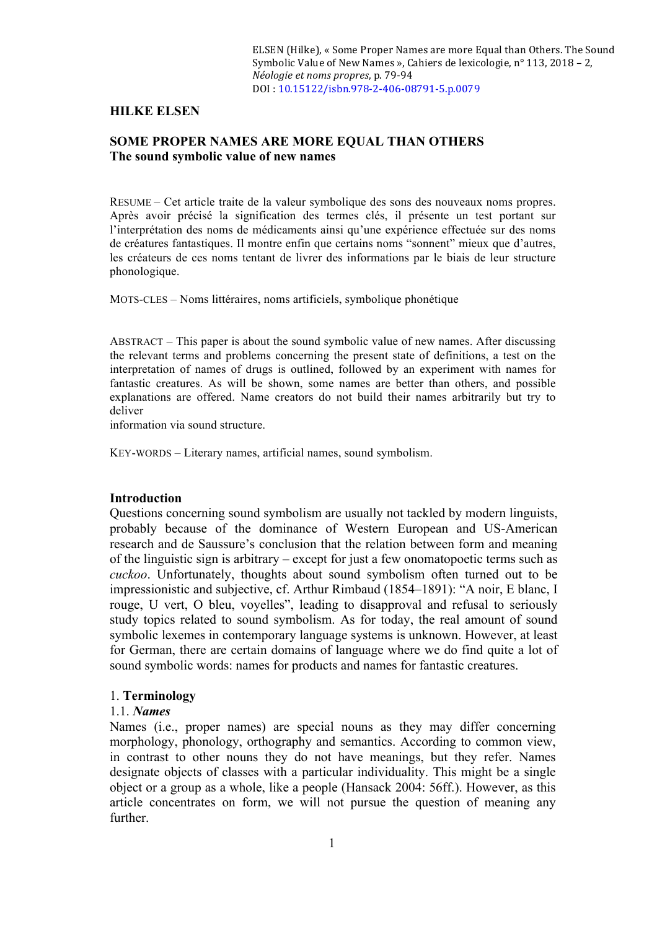ELSEN (Hilke), « Some Proper Names are more Equal than Others. The Sound Symbolic Value of New Names », Cahiers de lexicologie,  $n^{\circ}$  113, 2018 – 2, *Néologie et noms propres*, p. 79-94 DOI : 10.15122/isbn.978-2-406-08791-5.p.0079

### **HILKE ELSEN**

# **SOME PROPER NAMES ARE MORE EQUAL THAN OTHERS The sound symbolic value of new names**

RESUME – Cet article traite de la valeur symbolique des sons des nouveaux noms propres. Après avoir précisé la signification des termes clés, il présente un test portant sur l'interprétation des noms de médicaments ainsi qu'une expérience effectuée sur des noms de créatures fantastiques. Il montre enfin que certains noms "sonnent" mieux que d'autres, les créateurs de ces noms tentant de livrer des informations par le biais de leur structure phonologique.

MOTS-CLES – Noms littéraires, noms artificiels, symbolique phonétique

ABSTRACT – This paper is about the sound symbolic value of new names. After discussing the relevant terms and problems concerning the present state of definitions, a test on the interpretation of names of drugs is outlined, followed by an experiment with names for fantastic creatures. As will be shown, some names are better than others, and possible explanations are offered. Name creators do not build their names arbitrarily but try to deliver

information via sound structure.

KEY-WORDS – Literary names, artificial names, sound symbolism.

#### **Introduction**

Questions concerning sound symbolism are usually not tackled by modern linguists, probably because of the dominance of Western European and US-American research and de Saussure's conclusion that the relation between form and meaning of the linguistic sign is arbitrary – except for just a few onomatopoetic terms such as *cuckoo*. Unfortunately, thoughts about sound symbolism often turned out to be impressionistic and subjective, cf. Arthur Rimbaud (1854–1891): "A noir, E blanc, I rouge, U vert, O bleu, voyelles", leading to disapproval and refusal to seriously study topics related to sound symbolism. As for today, the real amount of sound symbolic lexemes in contemporary language systems is unknown. However, at least for German, there are certain domains of language where we do find quite a lot of sound symbolic words: names for products and names for fantastic creatures.

#### 1. **Terminology**

#### 1.1. *Names*

Names (i.e., proper names) are special nouns as they may differ concerning morphology, phonology, orthography and semantics. According to common view, in contrast to other nouns they do not have meanings, but they refer. Names designate objects of classes with a particular individuality. This might be a single object or a group as a whole, like a people (Hansack 2004: 56ff.). However, as this article concentrates on form, we will not pursue the question of meaning any further.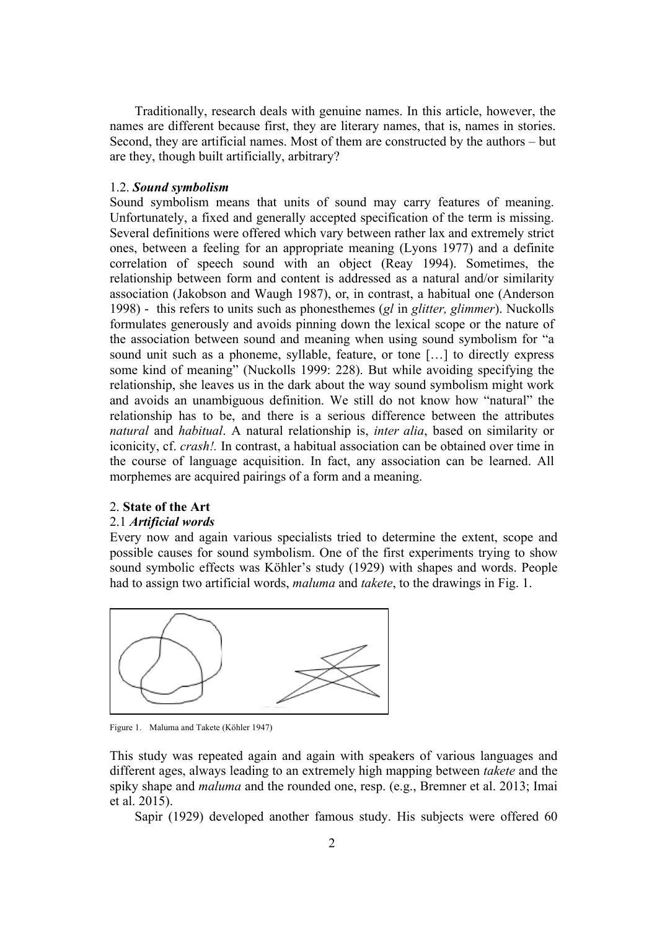Traditionally, research deals with genuine names. In this article, however, the names are different because first, they are literary names, that is, names in stories. Second, they are artificial names. Most of them are constructed by the authors – but are they, though built artificially, arbitrary?

### 1.2. *Sound symbolism*

Sound symbolism means that units of sound may carry features of meaning. Unfortunately, a fixed and generally accepted specification of the term is missing. Several definitions were offered which vary between rather lax and extremely strict ones, between a feeling for an appropriate meaning (Lyons 1977) and a definite correlation of speech sound with an object (Reay 1994). Sometimes, the relationship between form and content is addressed as a natural and/or similarity association (Jakobson and Waugh 1987), or, in contrast, a habitual one (Anderson 1998) - this refers to units such as phonesthemes (*gl* in *glitter, glimmer*). Nuckolls formulates generously and avoids pinning down the lexical scope or the nature of the association between sound and meaning when using sound symbolism for "a sound unit such as a phoneme, syllable, feature, or tone […] to directly express some kind of meaning" (Nuckolls 1999: 228). But while avoiding specifying the relationship, she leaves us in the dark about the way sound symbolism might work and avoids an unambiguous definition. We still do not know how "natural" the relationship has to be, and there is a serious difference between the attributes *natural* and *habitual*. A natural relationship is, *inter alia*, based on similarity or iconicity, cf. *crash!.* In contrast, a habitual association can be obtained over time in the course of language acquisition. In fact, any association can be learned. All morphemes are acquired pairings of a form and a meaning.

### 2. **State of the Art**

#### 2.1 *Artificial words*

Every now and again various specialists tried to determine the extent, scope and possible causes for sound symbolism. One of the first experiments trying to show sound symbolic effects was Köhler's study (1929) with shapes and words. People had to assign two artificial words, *maluma* and *takete*, to the drawings in Fig. 1.



Figure 1. Maluma and Takete (Köhler 1947)

This study was repeated again and again with speakers of various languages and different ages, always leading to an extremely high mapping between *takete* and the spiky shape and *maluma* and the rounded one, resp. (e.g., Bremner et al. 2013; Imai et al. 2015).

Sapir (1929) developed another famous study. His subjects were offered 60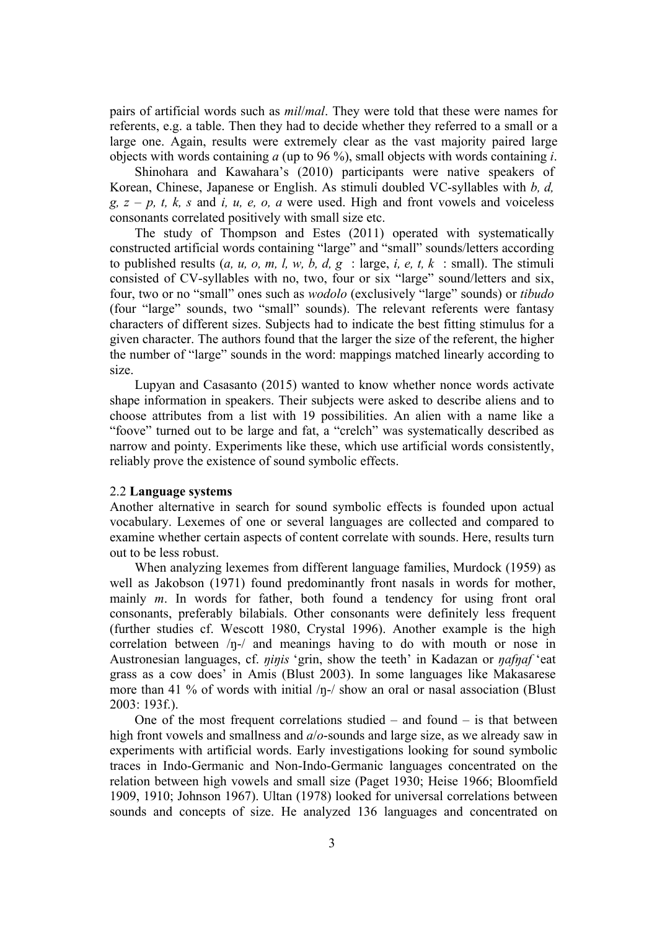pairs of artificial words such as *mil*/*mal*. They were told that these were names for referents, e.g. a table. Then they had to decide whether they referred to a small or a large one. Again, results were extremely clear as the vast majority paired large objects with words containing *a* (up to 96 %), small objects with words containing *i*.

Shinohara and Kawahara's (2010) participants were native speakers of Korean, Chinese, Japanese or English. As stimuli doubled VC-syllables with *b, d, g, z* – *p, t, k, s* and *i, u, e, o, a* were used. High and front vowels and voiceless consonants correlated positively with small size etc.

The study of Thompson and Estes (2011) operated with systematically constructed artificial words containing "large" and "small" sounds/letters according to published results (*a, u, o, m, l, w, b, d, g* : large, *i, e, t, k* : small). The stimuli consisted of CV-syllables with no, two, four or six "large" sound/letters and six, four, two or no "small" ones such as *wodolo* (exclusively "large" sounds) or *tibudo* (four "large" sounds, two "small" sounds). The relevant referents were fantasy characters of different sizes. Subjects had to indicate the best fitting stimulus for a given character. The authors found that the larger the size of the referent, the higher the number of "large" sounds in the word: mappings matched linearly according to size.

Lupyan and Casasanto (2015) wanted to know whether nonce words activate shape information in speakers. Their subjects were asked to describe aliens and to choose attributes from a list with 19 possibilities. An alien with a name like a "foove" turned out to be large and fat, a "crelch" was systematically described as narrow and pointy. Experiments like these, which use artificial words consistently, reliably prove the existence of sound symbolic effects.

### 2.2 **Language systems**

Another alternative in search for sound symbolic effects is founded upon actual vocabulary. Lexemes of one or several languages are collected and compared to examine whether certain aspects of content correlate with sounds. Here, results turn out to be less robust.

When analyzing lexemes from different language families, Murdock (1959) as well as Jakobson (1971) found predominantly front nasals in words for mother, mainly *m*. In words for father, both found a tendency for using front oral consonants, preferably bilabials. Other consonants were definitely less frequent (further studies cf. Wescott 1980, Crystal 1996). Another example is the high correlation between /ŋ-/ and meanings having to do with mouth or nose in Austronesian languages, cf. *ninis* 'grin, show the teeth' in Kadazan or *nafnaf* 'eat grass as a cow does' in Amis (Blust 2003). In some languages like Makasarese more than 41 % of words with initial  $/p$ -/ show an oral or nasal association (Blust 2003: 193f.).

One of the most frequent correlations studied  $-$  and found  $-$  is that between high front vowels and smallness and *a*/*o*-sounds and large size, as we already saw in experiments with artificial words. Early investigations looking for sound symbolic traces in Indo-Germanic and Non-Indo-Germanic languages concentrated on the relation between high vowels and small size (Paget 1930; Heise 1966; Bloomfield 1909, 1910; Johnson 1967). Ultan (1978) looked for universal correlations between sounds and concepts of size. He analyzed 136 languages and concentrated on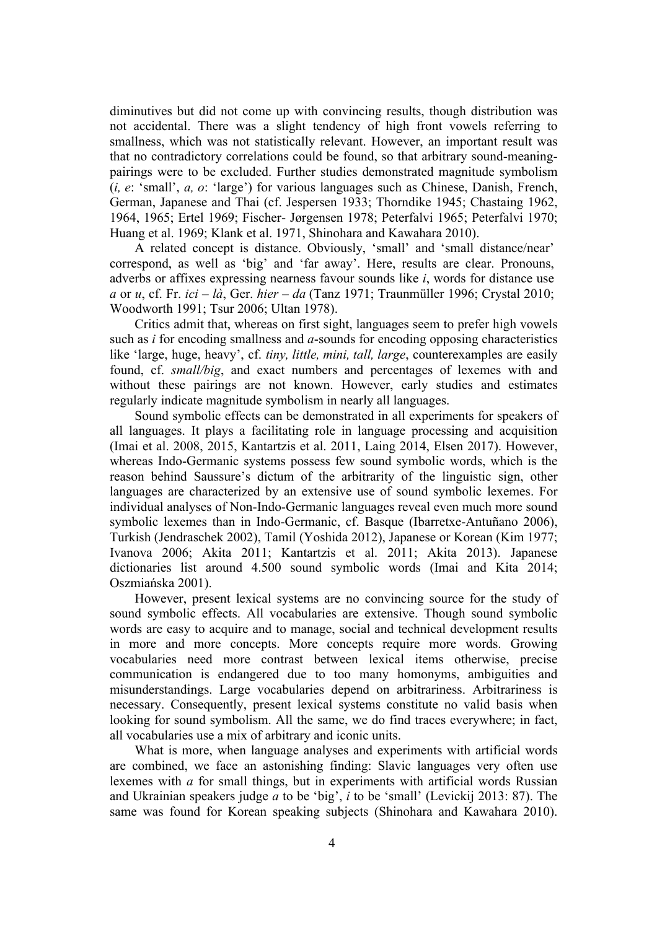diminutives but did not come up with convincing results, though distribution was not accidental. There was a slight tendency of high front vowels referring to smallness, which was not statistically relevant. However, an important result was that no contradictory correlations could be found, so that arbitrary sound-meaningpairings were to be excluded. Further studies demonstrated magnitude symbolism (*i, e*: 'small', *a, o*: 'large') for various languages such as Chinese, Danish, French, German, Japanese and Thai (cf. Jespersen 1933; Thorndike 1945; Chastaing 1962, 1964, 1965; Ertel 1969; Fischer- Jørgensen 1978; Peterfalvi 1965; Peterfalvi 1970; Huang et al. 1969; Klank et al. 1971, Shinohara and Kawahara 2010).

A related concept is distance. Obviously, 'small' and 'small distance/near' correspond, as well as 'big' and 'far away'. Here, results are clear. Pronouns, adverbs or affixes expressing nearness favour sounds like *i*, words for distance use *a* or *u*, cf. Fr. *ici* – *là*, Ger. *hier* – *da* (Tanz 1971; Traunmüller 1996; Crystal 2010; Woodworth 1991; Tsur 2006; Ultan 1978).

Critics admit that, whereas on first sight, languages seem to prefer high vowels such as *i* for encoding smallness and *a*-sounds for encoding opposing characteristics like 'large, huge, heavy', cf. *tiny, little, mini, tall, large*, counterexamples are easily found, cf. *small/big*, and exact numbers and percentages of lexemes with and without these pairings are not known. However, early studies and estimates regularly indicate magnitude symbolism in nearly all languages.

Sound symbolic effects can be demonstrated in all experiments for speakers of all languages. It plays a facilitating role in language processing and acquisition (Imai et al. 2008, 2015, Kantartzis et al. 2011, Laing 2014, Elsen 2017). However, whereas Indo-Germanic systems possess few sound symbolic words, which is the reason behind Saussure's dictum of the arbitrarity of the linguistic sign, other languages are characterized by an extensive use of sound symbolic lexemes. For individual analyses of Non-Indo-Germanic languages reveal even much more sound symbolic lexemes than in Indo-Germanic, cf. Basque (Ibarretxe-Antuñano 2006), Turkish (Jendraschek 2002), Tamil (Yoshida 2012), Japanese or Korean (Kim 1977; Ivanova 2006; Akita 2011; Kantartzis et al. 2011; Akita 2013). Japanese dictionaries list around 4.500 sound symbolic words (Imai and Kita 2014; Oszmiańska 2001).

However, present lexical systems are no convincing source for the study of sound symbolic effects. All vocabularies are extensive. Though sound symbolic words are easy to acquire and to manage, social and technical development results in more and more concepts. More concepts require more words. Growing vocabularies need more contrast between lexical items otherwise, precise communication is endangered due to too many homonyms, ambiguities and misunderstandings. Large vocabularies depend on arbitrariness. Arbitrariness is necessary. Consequently, present lexical systems constitute no valid basis when looking for sound symbolism. All the same, we do find traces everywhere; in fact, all vocabularies use a mix of arbitrary and iconic units.

What is more, when language analyses and experiments with artificial words are combined, we face an astonishing finding: Slavic languages very often use lexemes with *a* for small things, but in experiments with artificial words Russian and Ukrainian speakers judge *a* to be 'big', *i* to be 'small' (Levickij 2013: 87). The same was found for Korean speaking subjects (Shinohara and Kawahara 2010).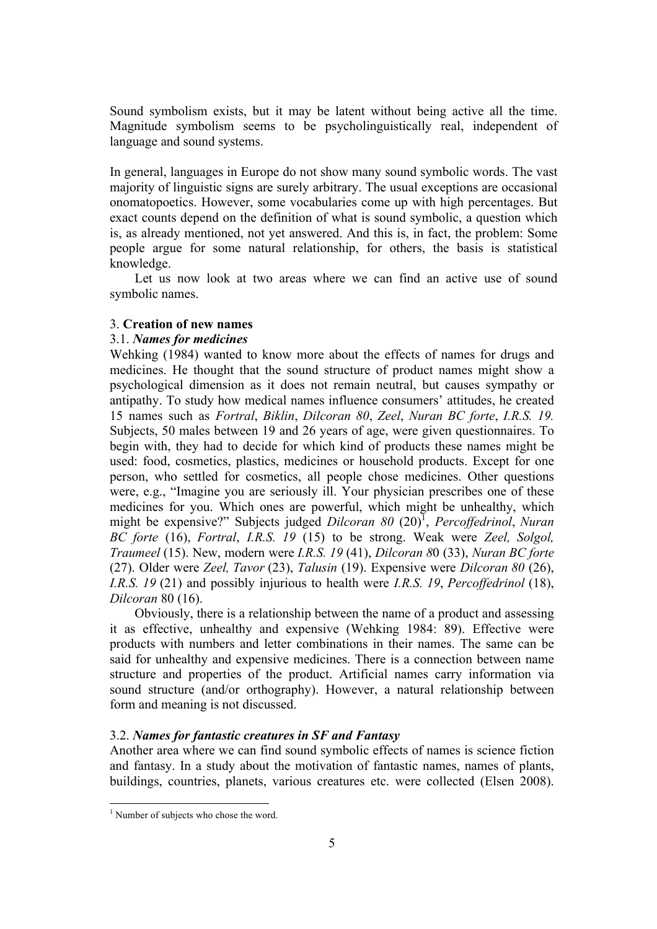Sound symbolism exists, but it may be latent without being active all the time. Magnitude symbolism seems to be psycholinguistically real, independent of language and sound systems.

In general, languages in Europe do not show many sound symbolic words. The vast majority of linguistic signs are surely arbitrary. The usual exceptions are occasional onomatopoetics. However, some vocabularies come up with high percentages. But exact counts depend on the definition of what is sound symbolic, a question which is, as already mentioned, not yet answered. And this is, in fact, the problem: Some people argue for some natural relationship, for others, the basis is statistical knowledge.

Let us now look at two areas where we can find an active use of sound symbolic names.

### 3. **Creation of new names**

# 3.1. *Names for medicines*

Wehking (1984) wanted to know more about the effects of names for drugs and medicines. He thought that the sound structure of product names might show a psychological dimension as it does not remain neutral, but causes sympathy or antipathy. To study how medical names influence consumers' attitudes, he created 15 names such as *Fortral*, *Biklin*, *Dilcoran 80*, *Zeel*, *Nuran BC forte*, *I.R.S. 19.*  Subjects, 50 males between 19 and 26 years of age, were given questionnaires. To begin with, they had to decide for which kind of products these names might be used: food, cosmetics, plastics, medicines or household products. Except for one person, who settled for cosmetics, all people chose medicines. Other questions were, e.g., "Imagine you are seriously ill. Your physician prescribes one of these medicines for you. Which ones are powerful, which might be unhealthy, which might be expensive?" Subjects judged *Dilcoran 80* (20)<sup>1</sup>, *Percoffedrinol*, *Nuran BC forte* (16), *Fortral*, *I.R.S. 19* (15) to be strong. Weak were *Zeel, Solgol, Traumeel* (15). New, modern were *I.R.S. 19* (41), *Dilcoran 8*0 (33), *Nuran BC forte*  (27). Older were *Zeel, Tavor* (23), *Talusin* (19). Expensive were *Dilcoran 80* (26), *I.R.S. 19* (21) and possibly injurious to health were *I.R.S. 19*, *Percoffedrinol* (18), *Dilcoran* 80 (16).

Obviously, there is a relationship between the name of a product and assessing it as effective, unhealthy and expensive (Wehking 1984: 89). Effective were products with numbers and letter combinations in their names. The same can be said for unhealthy and expensive medicines. There is a connection between name structure and properties of the product. Artificial names carry information via sound structure (and/or orthography). However, a natural relationship between form and meaning is not discussed.

# 3.2. *Names for fantastic creatures in SF and Fantasy*

Another area where we can find sound symbolic effects of names is science fiction and fantasy. In a study about the motivation of fantastic names, names of plants, buildings, countries, planets, various creatures etc. were collected (Elsen 2008).

<sup>&</sup>lt;sup>1</sup> Number of subjects who chose the word.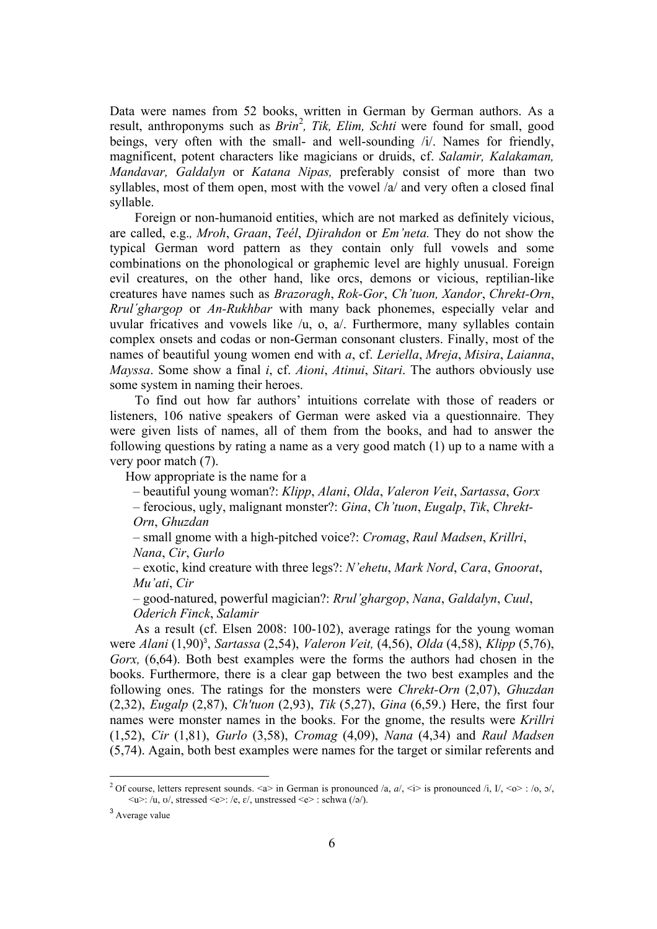Data were names from 52 books, written in German by German authors. As a result, anthroponyms such as *Brin<sup>2</sup>*, *Tik, Elim, Schti* were found for small, good beings, very often with the small- and well-sounding /i/. Names for friendly, magnificent, potent characters like magicians or druids, cf. *Salamir, Kalakaman, Mandavar, Galdalyn* or *Katana Nipas,* preferably consist of more than two syllables, most of them open, most with the vowel /a/ and very often a closed final syllable.

Foreign or non-humanoid entities, which are not marked as definitely vicious, are called, e.g.*, Mroh*, *Graan*, *Teél*, *Djirahdon* or *Em'neta.* They do not show the typical German word pattern as they contain only full vowels and some combinations on the phonological or graphemic level are highly unusual. Foreign evil creatures, on the other hand, like orcs, demons or vicious, reptilian-like creatures have names such as *Brazoragh*, *Rok-Gor*, *Ch'tuon, Xandor*, *Chrekt-Orn*, *Rrul´ghargop* or *An-Rukhbar* with many back phonemes, especially velar and uvular fricatives and vowels like /u, o, a/. Furthermore, many syllables contain complex onsets and codas or non-German consonant clusters. Finally, most of the names of beautiful young women end with *a*, cf. *Leriella*, *Mreja*, *Misira*, *Laianna*, *Mayssa*. Some show a final *i*, cf. *Aioni*, *Atinui*, *Sitari*. The authors obviously use some system in naming their heroes.

To find out how far authors' intuitions correlate with those of readers or listeners, 106 native speakers of German were asked via a questionnaire. They were given lists of names, all of them from the books, and had to answer the following questions by rating a name as a very good match (1) up to a name with a very poor match (7).

How appropriate is the name for a

– beautiful young woman?: *Klipp*, *Alani*, *Olda*, *Valeron Veit*, *Sartassa*, *Gorx* – ferocious, ugly, malignant monster?: *Gina*, *Ch'tuon*, *Eugalp*, *Tik*, *Chrekt-Orn*, *Ghuzdan*

– small gnome with a high-pitched voice?: *Cromag*, *Raul Madsen*, *Krillri*, *Nana*, *Cir*, *Gurlo*

– exotic, kind creature with three legs?: *N'ehetu*, *Mark Nord*, *Cara*, *Gnoorat*, *Mu'ati*, *Cir*

– good-natured, powerful magician?: *Rrul'ghargop*, *Nana*, *Galdalyn*, *Cuul*, *Oderich Finck*, *Salamir*

As a result (cf. Elsen 2008: 100-102), average ratings for the young woman were *Alani* (1,90) 3 , *Sartassa* (2,54), *Valeron Veit,* (4,56), *Olda* (4,58), *Klipp* (5,76), *Gorx,* (6,64). Both best examples were the forms the authors had chosen in the books. Furthermore, there is a clear gap between the two best examples and the following ones. The ratings for the monsters were *Chrekt-Orn* (2,07), *Ghuzdan*  (2,32), *Eugalp* (2,87), *Ch'tuon* (2,93), *Tik* (5,27), *Gina* (6,59.) Here, the first four names were monster names in the books. For the gnome, the results were *Krillri*  (1,52), *Cir* (1,81), *Gurlo* (3,58), *Cromag* (4,09), *Nana* (4,34) and *Raul Madsen*  (5,74). Again, both best examples were names for the target or similar referents and

<sup>&</sup>lt;sup>2</sup> Of course, letters represent sounds.  $\langle a \rangle$  in German is pronounced /a, a/,  $\langle i \rangle$  is pronounced /i, I/,  $\langle o \rangle$ : /o,  $o$ /,  $\langle u \rangle$ : /u, ʊ/, stressed  $\langle e \rangle$ : /e, ɛ/, unstressed  $\langle e \rangle$ : schwa (/ə/).

<sup>3</sup> Average value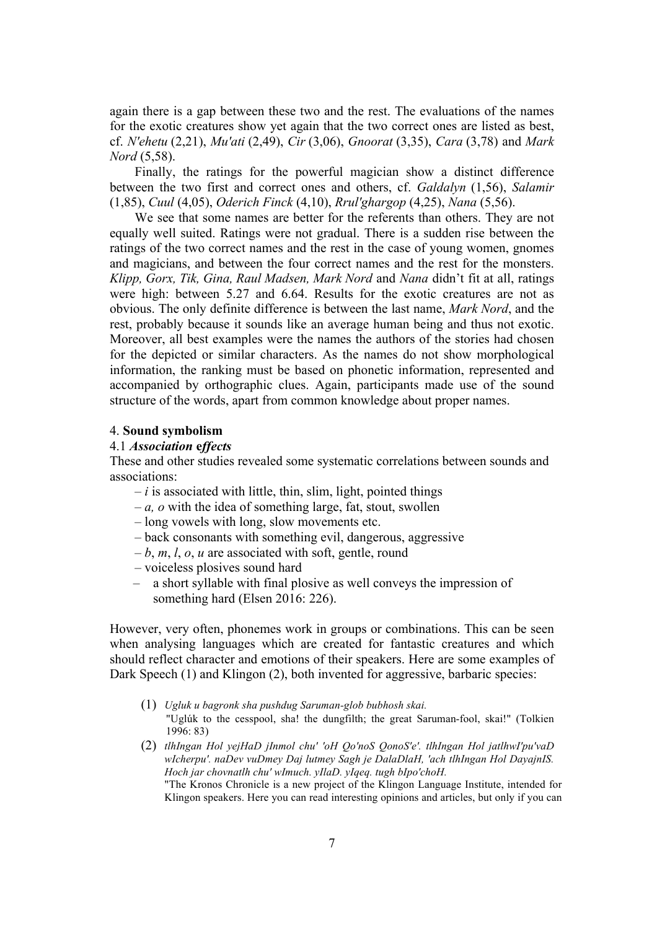again there is a gap between these two and the rest. The evaluations of the names for the exotic creatures show yet again that the two correct ones are listed as best, cf. *N'ehetu* (2,21), *Mu'ati* (2,49), *Cir* (3,06), *Gnoorat* (3,35), *Cara* (3,78) and *Mark Nord* (5,58).

Finally, the ratings for the powerful magician show a distinct difference between the two first and correct ones and others, cf. *Galdalyn* (1,56), *Salamir*  (1,85), *Cuul* (4,05), *Oderich Finck* (4,10), *Rrul'ghargop* (4,25), *Nana* (5,56).

We see that some names are better for the referents than others. They are not equally well suited. Ratings were not gradual. There is a sudden rise between the ratings of the two correct names and the rest in the case of young women, gnomes and magicians, and between the four correct names and the rest for the monsters. *Klipp, Gorx, Tik, Gina, Raul Madsen, Mark Nord* and *Nana* didn't fit at all, ratings were high: between 5.27 and 6.64. Results for the exotic creatures are not as obvious. The only definite difference is between the last name, *Mark Nord*, and the rest, probably because it sounds like an average human being and thus not exotic. Moreover, all best examples were the names the authors of the stories had chosen for the depicted or similar characters. As the names do not show morphological information, the ranking must be based on phonetic information, represented and accompanied by orthographic clues. Again, participants made use of the sound structure of the words, apart from common knowledge about proper names.

### 4. **Sound symbolism**

# 4.1 *Association* **e***ffects*

These and other studies revealed some systematic correlations between sounds and associations:

- *– i* is associated with little, thin, slim, light, pointed things
- *– a, o* with the idea of something large, fat, stout, swollen
- long vowels with long, slow movements etc.
- back consonants with something evil, dangerous, aggressive
- *– b*, *m*, *l*, *o*, *u* are associated with soft, gentle, round
- voiceless plosives sound hard
- a short syllable with final plosive as well conveys the impression of something hard (Elsen 2016: 226).

However, very often, phonemes work in groups or combinations. This can be seen when analysing languages which are created for fantastic creatures and which should reflect character and emotions of their speakers. Here are some examples of Dark Speech (1) and Klingon (2), both invented for aggressive, barbaric species:

- (1) *Ugluk u bagronk sha pushdug Saruman-glob bubhosh skai.* "Uglúk to the cesspool, sha! the dungfilth; the great Saruman-fool, skai!" (Tolkien 1996: 83)
- (2) *tlhIngan Hol yejHaD jInmol chu' 'oH Qo'noS QonoS'e'. tlhIngan Hol jatlhwI'pu'vaD wIcherpu'. naDev vuDmey Daj lutmey Sagh je DalaDlaH, 'ach tlhIngan Hol DayajnIS. Hoch jar chovnatlh chu' wImuch. yIlaD. yIqeq. tugh bIpo'choH.* "The Kronos Chronicle is a new project of the Klingon Language Institute, intended for Klingon speakers. Here you can read interesting opinions and articles, but only if you can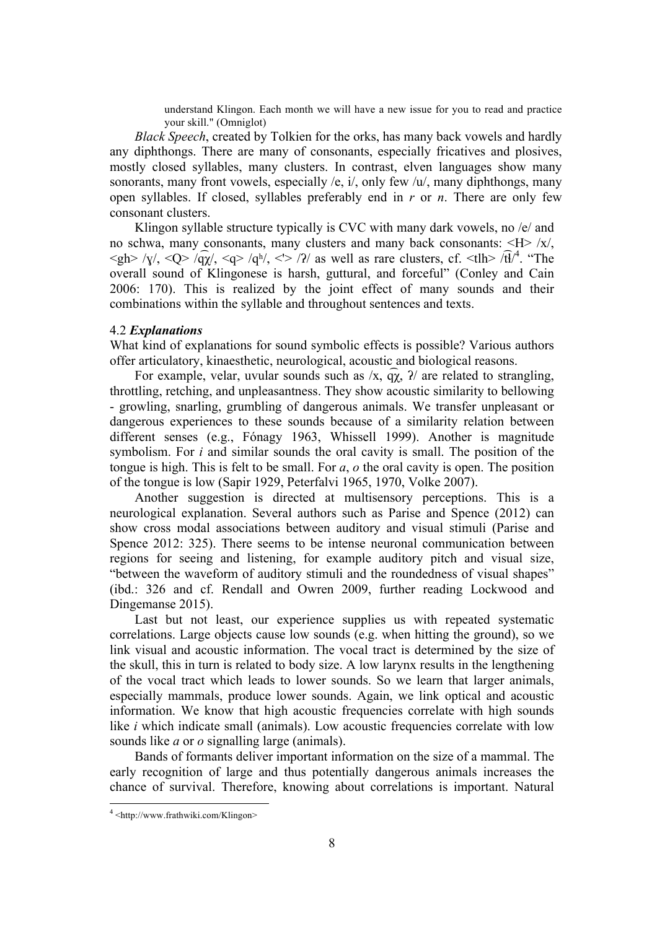understand Klingon. Each month we will have a new issue for you to read and practice your skill." (Omniglot)

*Black Speech*, created by Tolkien for the orks, has many back vowels and hardly any diphthongs. There are many of consonants, especially fricatives and plosives, mostly closed syllables, many clusters. In contrast, elven languages show many sonorants, many front vowels, especially /e, i/, only few  $/u'$ , many diphthongs, many open syllables. If closed, syllables preferably end in *r* or *n*. There are only few consonant clusters.

Klingon syllable structure typically is CVC with many dark vowels, no /e/ and no schwa, many consonants, many clusters and many back consonants: <H> /x/,  $\langle \text{gh} \rangle / \text{g} / \langle \text{Q} \rangle / \langle \text{q} \rangle / \langle \text{q} \rangle / \langle \text{q} \rangle / \langle \text{q} \rangle / \langle \text{q} \rangle / \langle \text{q} \rangle$  as well as rare clusters, cf.  $\langle \text{th} \rangle / \langle \text{th} \rangle / \langle \text{q} \rangle / \langle \text{q} \rangle$ . "The overall sound of Klingonese is harsh, guttural, and forceful" (Conley and Cain 2006: 170). This is realized by the joint effect of many sounds and their combinations within the syllable and throughout sentences and texts.

#### 4.2 *Explanations*

What kind of explanations for sound symbolic effects is possible? Various authors offer articulatory, kinaesthetic, neurological, acoustic and biological reasons.

For example, velar, uvular sounds such as  $/x$ ,  $\widehat{q}\chi$ ,  $\widehat{q}\chi$ ,  $\chi$  are related to strangling, throttling, retching, and unpleasantness. They show acoustic similarity to bellowing - growling, snarling, grumbling of dangerous animals. We transfer unpleasant or dangerous experiences to these sounds because of a similarity relation between different senses (e.g., Fónagy 1963, Whissell 1999). Another is magnitude symbolism. For *i* and similar sounds the oral cavity is small. The position of the tongue is high. This is felt to be small. For *a*, *o* the oral cavity is open. The position of the tongue is low (Sapir 1929, Peterfalvi 1965, 1970, Volke 2007).

Another suggestion is directed at multisensory perceptions. This is a neurological explanation. Several authors such as Parise and Spence (2012) can show cross modal associations between auditory and visual stimuli (Parise and Spence 2012: 325). There seems to be intense neuronal communication between regions for seeing and listening, for example auditory pitch and visual size, "between the waveform of auditory stimuli and the roundedness of visual shapes" (ibd.: 326 and cf. Rendall and Owren 2009, further reading Lockwood and Dingemanse 2015).

Last but not least, our experience supplies us with repeated systematic correlations. Large objects cause low sounds (e.g. when hitting the ground), so we link visual and acoustic information. The vocal tract is determined by the size of the skull, this in turn is related to body size. A low larynx results in the lengthening of the vocal tract which leads to lower sounds. So we learn that larger animals, especially mammals, produce lower sounds. Again, we link optical and acoustic information. We know that high acoustic frequencies correlate with high sounds like *i* which indicate small (animals). Low acoustic frequencies correlate with low sounds like *a* or *o* signalling large (animals).

Bands of formants deliver important information on the size of a mammal. The early recognition of large and thus potentially dangerous animals increases the chance of survival. Therefore, knowing about correlations is important. Natural

 $4$  <http://www.frathwiki.com/Klingon>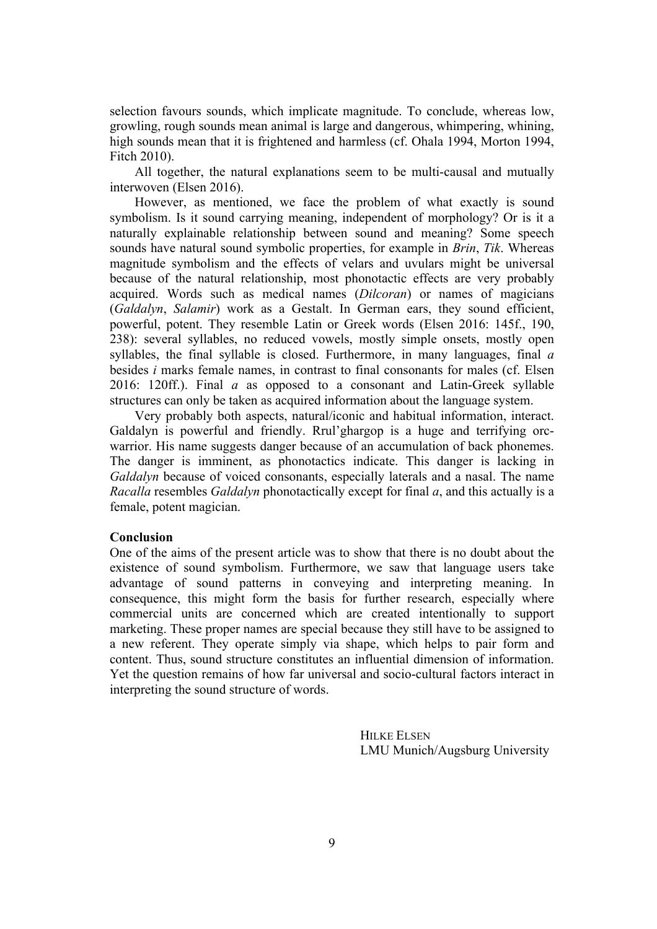selection favours sounds, which implicate magnitude. To conclude, whereas low, growling, rough sounds mean animal is large and dangerous, whimpering, whining, high sounds mean that it is frightened and harmless (cf. Ohala 1994, Morton 1994, Fitch 2010).

All together, the natural explanations seem to be multi-causal and mutually interwoven (Elsen 2016).

However, as mentioned, we face the problem of what exactly is sound symbolism. Is it sound carrying meaning, independent of morphology? Or is it a naturally explainable relationship between sound and meaning? Some speech sounds have natural sound symbolic properties, for example in *Brin*, *Tik*. Whereas magnitude symbolism and the effects of velars and uvulars might be universal because of the natural relationship, most phonotactic effects are very probably acquired. Words such as medical names (*Dilcoran*) or names of magicians (*Galdalyn*, *Salamir*) work as a Gestalt. In German ears, they sound efficient, powerful, potent. They resemble Latin or Greek words (Elsen 2016: 145f., 190, 238): several syllables, no reduced vowels, mostly simple onsets, mostly open syllables, the final syllable is closed. Furthermore, in many languages, final *a* besides *i* marks female names, in contrast to final consonants for males (cf. Elsen 2016: 120ff.). Final *a* as opposed to a consonant and Latin-Greek syllable structures can only be taken as acquired information about the language system.

Very probably both aspects, natural/iconic and habitual information, interact. Galdalyn is powerful and friendly. Rrul'ghargop is a huge and terrifying orcwarrior. His name suggests danger because of an accumulation of back phonemes. The danger is imminent, as phonotactics indicate. This danger is lacking in *Galdalyn* because of voiced consonants, especially laterals and a nasal. The name *Racalla* resembles *Galdalyn* phonotactically except for final *a*, and this actually is a female, potent magician.

### **Conclusion**

One of the aims of the present article was to show that there is no doubt about the existence of sound symbolism. Furthermore, we saw that language users take advantage of sound patterns in conveying and interpreting meaning. In consequence, this might form the basis for further research, especially where commercial units are concerned which are created intentionally to support marketing. These proper names are special because they still have to be assigned to a new referent. They operate simply via shape, which helps to pair form and content. Thus, sound structure constitutes an influential dimension of information. Yet the question remains of how far universal and socio-cultural factors interact in interpreting the sound structure of words.

> HILKE ELSEN LMU Munich/Augsburg University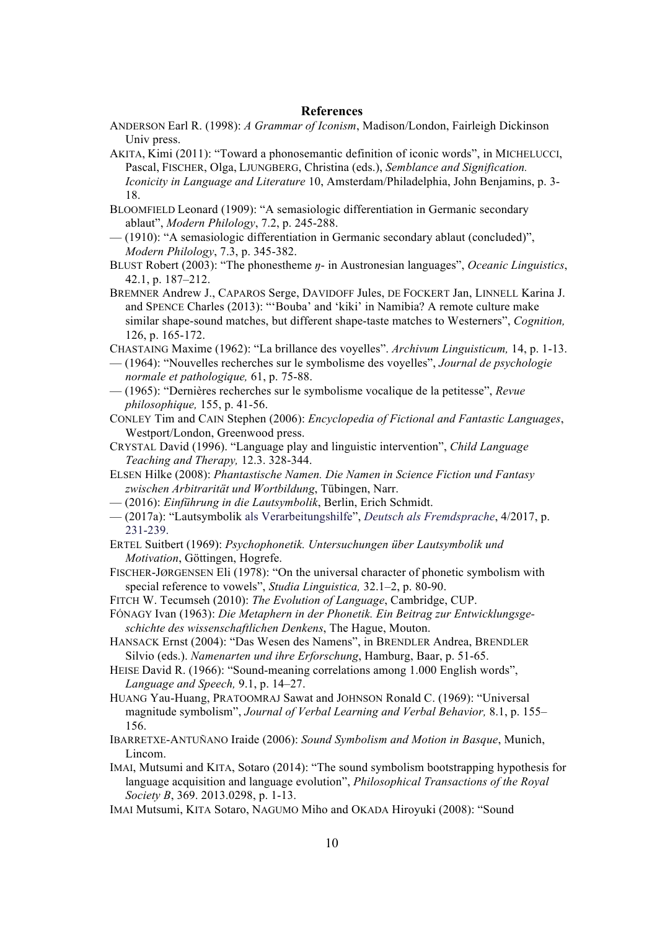#### **References**

- ANDERSON Earl R. (1998): *A Grammar of Iconism*, Madison/London, Fairleigh Dickinson Univ press.
- AKITA, Kimi (2011): "Toward a phonosemantic definition of iconic words", in MICHELUCCI, Pascal, FISCHER, Olga, LJUNGBERG, Christina (eds.), *Semblance and Signification. Iconicity in Language and Literature* 10, Amsterdam/Philadelphia, John Benjamins, p. 3- 18.
- BLOOMFIELD Leonard (1909): "A semasiologic differentiation in Germanic secondary ablaut", *Modern Philology*, 7.2, p. 245-288.
- (1910): "A semasiologic differentiation in Germanic secondary ablaut (concluded)", *Modern Philology*, 7.3, p. 345-382.
- BLUST Robert (2003): "The phonestheme *ŋ* in Austronesian languages", *Oceanic Linguistics*, 42.1, p. 187–212.
- BREMNER Andrew J., CAPAROS Serge, DAVIDOFF Jules, DE FOCKERT Jan, LINNELL Karina J. and SPENCE Charles (2013): "'Bouba' and 'kiki' in Namibia? A remote culture make similar shape-sound matches, but different shape-taste matches to Westerners", *Cognition,* 126, p. 165-172.
- CHASTAING Maxime (1962): "La brillance des voyelles". *Archivum Linguisticum,* 14, p. 1-13.
- (1964): "Nouvelles recherches sur le symbolisme des voyelles", *Journal de psychologie normale et pathologique,* 61, p. 75-88.
- (1965): "Dernières recherches sur le symbolisme vocalique de la petitesse", *Revue philosophique,* 155, p. 41-56.
- CONLEY Tim and CAIN Stephen (2006): *Encyclopedia of Fictional and Fantastic Languages*, Westport/London, Greenwood press.
- CRYSTAL David (1996). "Language play and linguistic intervention", *Child Language Teaching and Therapy,* 12.3. 328-344.
- ELSEN Hilke (2008): *Phantastische Namen. Die Namen in Science Fiction und Fantasy zwischen Arbitrarität und Wortbildung*, Tübingen, Narr.
- (2016): *Einführung in die Lautsymbolik*, Berlin, Erich Schmidt.
- (2017a): "Lautsymbolik als Verarbeitungshilfe", *Deutsch als Fremdsprache*, 4/2017, p. 231-239.
- ERTEL Suitbert (1969): *Psychophonetik. Untersuchungen über Lautsymbolik und Motivation*, Göttingen, Hogrefe.
- FISCHER-JØRGENSEN Eli (1978): "On the universal character of phonetic symbolism with special reference to vowels", *Studia Linguistica,* 32.1–2, p. 80-90.
- FITCH W. Tecumseh (2010): *The Evolution of Language*, Cambridge, CUP.
- FÓNAGY Ivan (1963): *Die Metaphern in der Phonetik. Ein Beitrag zur Entwicklungsgeschichte des wissenschaftlichen Denkens*, The Hague, Mouton.
- HANSACK Ernst (2004): "Das Wesen des Namens", in BRENDLER Andrea, BRENDLER Silvio (eds.). *Namenarten und ihre Erforschung*, Hamburg, Baar, p. 51-65.
- HEISE David R. (1966): "Sound-meaning correlations among 1.000 English words", *Language and Speech,* 9.1, p. 14–27.
- HUANG Yau-Huang, PRATOOMRAJ Sawat and JOHNSON Ronald C. (1969): "Universal magnitude symbolism", *Journal of Verbal Learning and Verbal Behavior,* 8.1, p. 155– 156.
- IBARRETXE-ANTUÑANO Iraide (2006): *Sound Symbolism and Motion in Basque*, Munich, Lincom.
- IMAI, Mutsumi and KITA, Sotaro (2014): "The sound symbolism bootstrapping hypothesis for language acquisition and language evolution", *Philosophical Transactions of the Royal Society B*, 369. 2013.0298, p. 1-13.
- IMAI Mutsumi, KITA Sotaro, NAGUMO Miho and OKADA Hiroyuki (2008): "Sound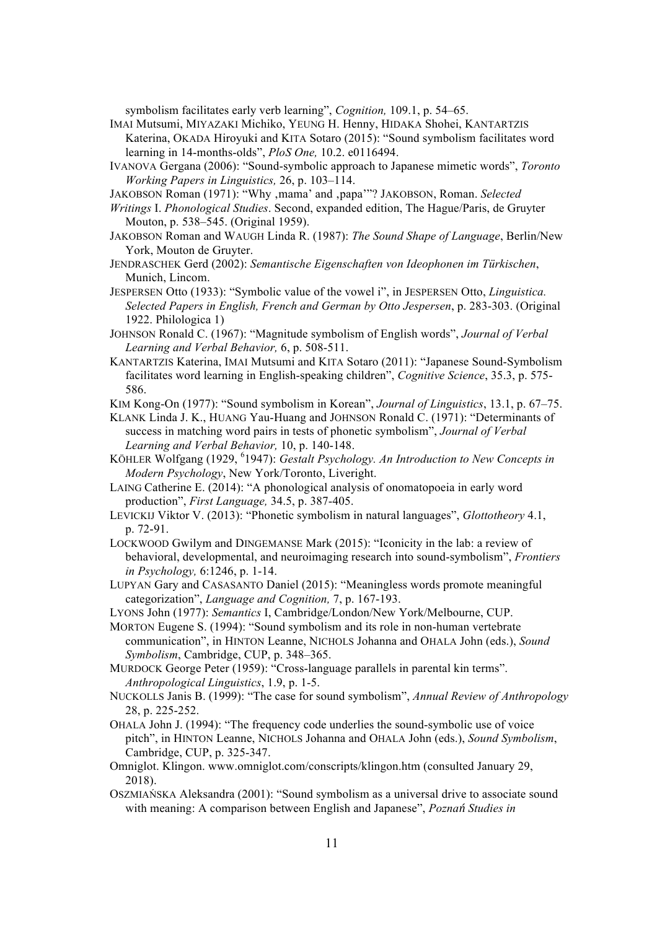symbolism facilitates early verb learning", *Cognition,* 109.1, p. 54–65.

- IMAI Mutsumi, MIYAZAKI Michiko, YEUNG H. Henny, HIDAKA Shohei, KANTARTZIS Katerina, OKADA Hiroyuki and KITA Sotaro (2015): "Sound symbolism facilitates word learning in 14-months-olds", *PloS One,* 10.2. e0116494.
- IVANOVA Gergana (2006): "Sound-symbolic approach to Japanese mimetic words", *Toronto Working Papers in Linguistics,* 26, p. 103–114.
- JAKOBSON Roman (1971): "Why ,mama' and ,papa'"? JAKOBSON, Roman. *Selected*
- *Writings* I. *Phonological Studies*. Second, expanded edition, The Hague/Paris, de Gruyter Mouton, p. 538–545. (Original 1959).
- JAKOBSON Roman and WAUGH Linda R. (1987): *The Sound Shape of Language*, Berlin/New York, Mouton de Gruyter.
- JENDRASCHEK Gerd (2002): *Semantische Eigenschaften von Ideophonen im Türkischen*, Munich, Lincom.
- JESPERSEN Otto (1933): "Symbolic value of the vowel i", in JESPERSEN Otto, *Linguistica. Selected Papers in English, French and German by Otto Jespersen*, p. 283-303. (Original 1922. Philologica 1)
- JOHNSON Ronald C. (1967): "Magnitude symbolism of English words", *Journal of Verbal Learning and Verbal Behavior,* 6, p. 508-511.
- KANTARTZIS Katerina, IMAI Mutsumi and KITA Sotaro (2011): "Japanese Sound-Symbolism facilitates word learning in English-speaking children", *Cognitive Science*, 35.3, p. 575- 586.
- KIM Kong-On (1977): "Sound symbolism in Korean", *Journal of Linguistics*, 13.1, p. 67–75.
- KLANK Linda J. K., HUANG Yau-Huang and JOHNSON Ronald C. (1971): "Determinants of success in matching word pairs in tests of phonetic symbolism", *Journal of Verbal Learning and Verbal Behavior,* 10, p. 140-148.
- KÖHLER Wolfgang (1929, <sup>6</sup>1947): *Gestalt Psychology. An Introduction to New Concepts in Modern Psychology*, New York/Toronto, Liveright.
- LAING Catherine E. (2014): "A phonological analysis of onomatopoeia in early word production", *First Language,* 34.5, p. 387-405.
- LEVICKIJ Viktor V. (2013): "Phonetic symbolism in natural languages", *Glottotheory* 4.1, p. 72-91.
- LOCKWOOD Gwilym and DINGEMANSE Mark (2015): "Iconicity in the lab: a review of behavioral, developmental, and neuroimaging research into sound-symbolism", *Frontiers in Psychology,* 6:1246, p. 1-14.
- LUPYAN Gary and CASASANTO Daniel (2015): "Meaningless words promote meaningful categorization", *Language and Cognition,* 7, p. 167-193.
- LYONS John (1977): *Semantics* I, Cambridge/London/New York/Melbourne, CUP.
- MORTON Eugene S. (1994): "Sound symbolism and its role in non-human vertebrate communication", in HINTON Leanne, NICHOLS Johanna and OHALA John (eds.), *Sound Symbolism*, Cambridge, CUP, p. 348–365.
- MURDOCK George Peter (1959): "Cross-language parallels in parental kin terms". *Anthropological Linguistics*, 1.9, p. 1-5.
- NUCKOLLS Janis B. (1999): "The case for sound symbolism", *Annual Review of Anthropology* 28, p. 225-252.
- OHALA John J. (1994): "The frequency code underlies the sound-symbolic use of voice pitch", in HINTON Leanne, NICHOLS Johanna and OHALA John (eds.), *Sound Symbolism*, Cambridge, CUP, p. 325-347.
- Omniglot. Klingon. www.omniglot.com/conscripts/klingon.htm (consulted January 29, 2018).
- OSZMIAŃSKA Aleksandra (2001): "Sound symbolism as a universal drive to associate sound with meaning: A comparison between English and Japanese", *Poznań Studies in*